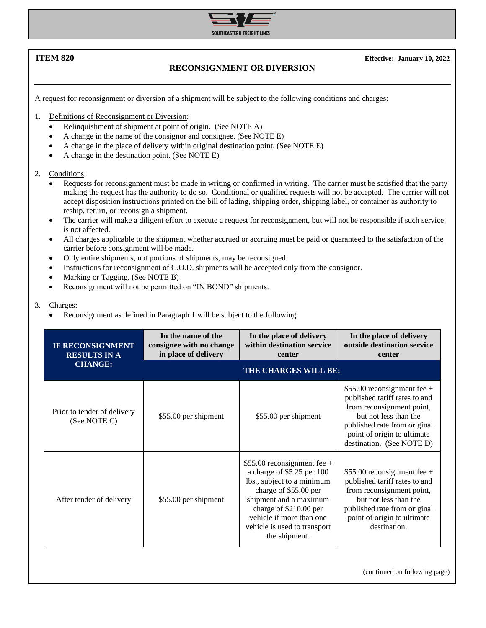

**ITEM 820 Effective: January 10, 2022**

## **RECONSIGNMENT OR DIVERSION**

A request for reconsignment or diversion of a shipment will be subject to the following conditions and charges:

1. Definitions of Reconsignment or Diversion:

- Relinquishment of shipment at point of origin. (See NOTE A)
- A change in the name of the consignor and consignee. (See NOTE E)
- A change in the place of delivery within original destination point. (See NOTE E)
- A change in the destination point. (See NOTE E)

2. Conditions:

- Requests for reconsignment must be made in writing or confirmed in writing. The carrier must be satisfied that the party making the request has the authority to do so. Conditional or qualified requests will not be accepted. The carrier will not accept disposition instructions printed on the bill of lading, shipping order, shipping label, or container as authority to reship, return, or reconsign a shipment.
- The carrier will make a diligent effort to execute a request for reconsignment, but will not be responsible if such service is not affected.
- All charges applicable to the shipment whether accrued or accruing must be paid or guaranteed to the satisfaction of the carrier before consignment will be made.
- Only entire shipments, not portions of shipments, may be reconsigned.
- Instructions for reconsignment of C.O.D. shipments will be accepted only from the consignor.
- Marking or Tagging. (See NOTE B)
- Reconsignment will not be permitted on "IN BOND" shipments.

## 3. Charges:

• Reconsignment as defined in Paragraph 1 will be subject to the following:

| <b>IF RECONSIGNMENT</b><br><b>RESULTS IN A</b><br><b>CHANGE:</b> | In the name of the<br>consignee with no change<br>in place of delivery | In the place of delivery<br>within destination service<br>center                                                                                                                                                                                   | In the place of delivery<br>outside destination service<br>center                                                                                                                                               |
|------------------------------------------------------------------|------------------------------------------------------------------------|----------------------------------------------------------------------------------------------------------------------------------------------------------------------------------------------------------------------------------------------------|-----------------------------------------------------------------------------------------------------------------------------------------------------------------------------------------------------------------|
|                                                                  | THE CHARGES WILL BE:                                                   |                                                                                                                                                                                                                                                    |                                                                                                                                                                                                                 |
| Prior to tender of delivery<br>(See NOTE C)                      | \$55.00 per shipment                                                   | \$55.00 per shipment                                                                                                                                                                                                                               | $$55.00$ reconsignment fee +<br>published tariff rates to and<br>from reconsignment point,<br>but not less than the<br>published rate from original<br>point of origin to ultimate<br>destination. (See NOTE D) |
| After tender of delivery                                         | \$55.00 per shipment                                                   | $$55.00$ reconsignment fee +<br>a charge of \$5.25 per 100<br>lbs., subject to a minimum<br>charge of \$55.00 per<br>shipment and a maximum<br>charge of \$210.00 per<br>vehicle if more than one<br>vehicle is used to transport<br>the shipment. | \$55.00 reconsignment fee $+$<br>published tariff rates to and<br>from reconsignment point,<br>but not less than the<br>published rate from original<br>point of origin to ultimate<br>destination.             |

(continued on following page)